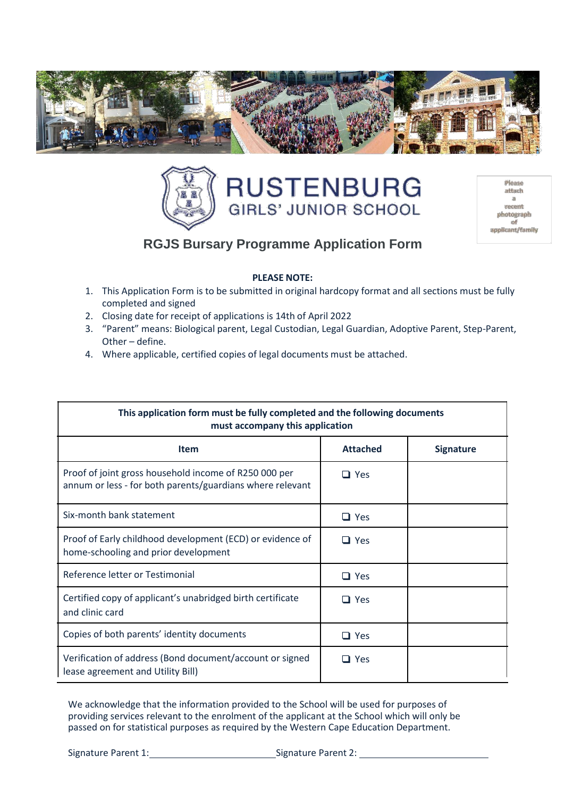



| Please           |
|------------------|
| attach           |
| а                |
| recent           |
| photograph       |
| of               |
| applicant/family |
|                  |

# **RGJS Bursary Programme Application Form**

### **PLEASE NOTE:**

- 1. This Application Form is to be submitted in original hardcopy format and all sections must be fully completed and signed
- 2. Closing date for receipt of applications is 14th of April 2022
- 3. "Parent" means: Biological parent, Legal Custodian, Legal Guardian, Adoptive Parent, Step-Parent, Other – define.
- 4. Where applicable, certified copies of legal documents must be attached.

| This application form must be fully completed and the following documents<br>must accompany this application       |                 |                  |  |  |  |
|--------------------------------------------------------------------------------------------------------------------|-----------------|------------------|--|--|--|
| <b>Item</b>                                                                                                        | <b>Attached</b> | <b>Signature</b> |  |  |  |
| Proof of joint gross household income of R250 000 per<br>annum or less - for both parents/guardians where relevant | $\Box$ Yes      |                  |  |  |  |
| Six-month bank statement                                                                                           | $\Box$ Yes      |                  |  |  |  |
| Proof of Early childhood development (ECD) or evidence of<br>home-schooling and prior development                  | $\Box$ Yes      |                  |  |  |  |
| Reference letter or Testimonial                                                                                    | $\Box$ Yes      |                  |  |  |  |
| Certified copy of applicant's unabridged birth certificate<br>and clinic card                                      | $\Box$ Yes      |                  |  |  |  |
| Copies of both parents' identity documents                                                                         | $\Box$ Yes      |                  |  |  |  |
| Verification of address (Bond document/account or signed<br>lease agreement and Utility Bill)                      | $\Box$ Yes      |                  |  |  |  |

We acknowledge that the information provided to the School will be used for purposes of providing services relevant to the enrolment of the applicant at the School which will only be passed on for statistical purposes as required by the Western Cape Education Department.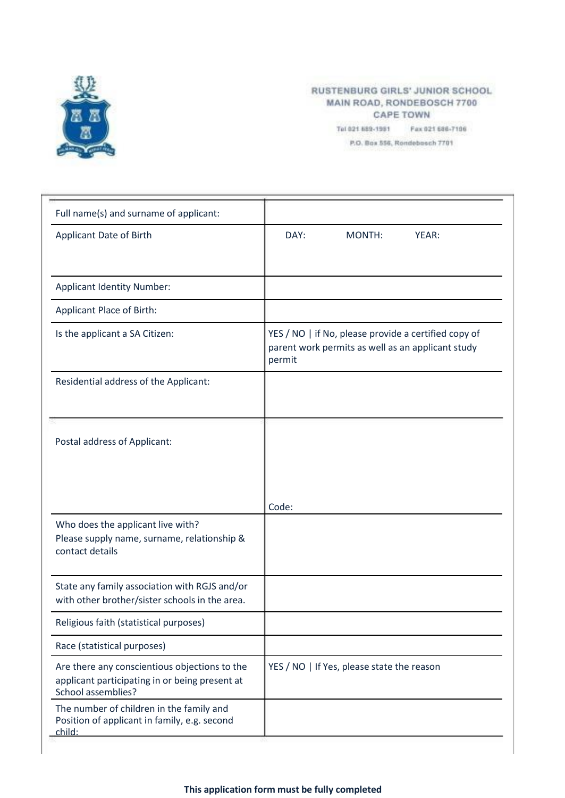

#### RUSTENBURG GIRLS' JUNIOR SCHOOL MAIN ROAD, RONDEBOSCH 7700 **CAPE TOWN**

Tel 021 689-1981 Fax 021 686-7106 P.O. Box 556, Rondebosch 7701

| Full name(s) and surname of applicant:                                                                                |                                                                                                                     |
|-----------------------------------------------------------------------------------------------------------------------|---------------------------------------------------------------------------------------------------------------------|
| Applicant Date of Birth                                                                                               | DAY:<br>MONTH:<br>YEAR:                                                                                             |
|                                                                                                                       |                                                                                                                     |
| <b>Applicant Identity Number:</b>                                                                                     |                                                                                                                     |
| Applicant Place of Birth:                                                                                             |                                                                                                                     |
| Is the applicant a SA Citizen:                                                                                        | YES / NO   if No, please provide a certified copy of<br>parent work permits as well as an applicant study<br>permit |
| Residential address of the Applicant:                                                                                 |                                                                                                                     |
| Postal address of Applicant:                                                                                          |                                                                                                                     |
|                                                                                                                       | Code:                                                                                                               |
| Who does the applicant live with?<br>Please supply name, surname, relationship &<br>contact details                   |                                                                                                                     |
| State any family association with RGJS and/or<br>with other brother/sister schools in the area.                       |                                                                                                                     |
| Religious faith (statistical purposes)                                                                                |                                                                                                                     |
| Race (statistical purposes)                                                                                           |                                                                                                                     |
| Are there any conscientious objections to the<br>applicant participating in or being present at<br>School assemblies? | YES / NO   If Yes, please state the reason                                                                          |
| The number of children in the family and<br>Position of applicant in family, e.g. second<br>child:                    |                                                                                                                     |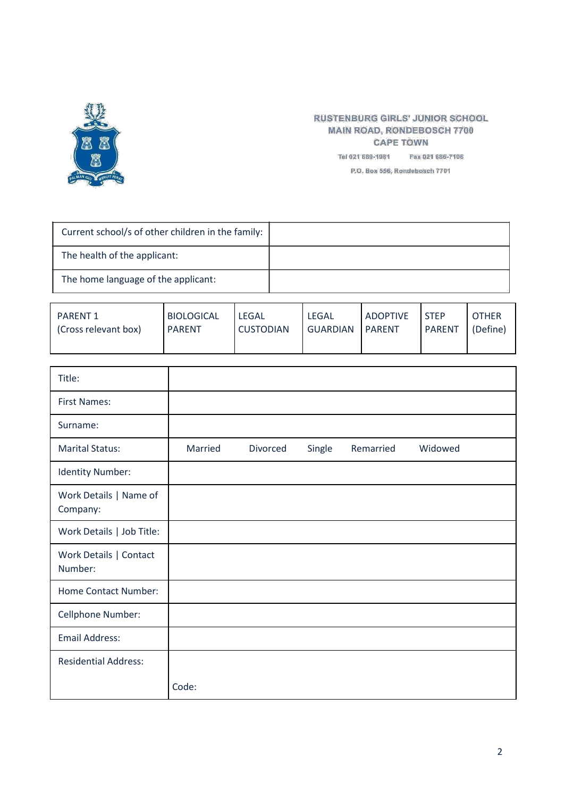

## **RUSTENBURG GIRLS' JUNIOR SCHOOL MAIN ROAD, RONDEBOSCH 7700 CAPE TOWN**

Tel 021 689-1981 Fax 021 686-7106

P.O. Box 556, Rondebosch 7701

| Current school/s of other children in the family: |  |
|---------------------------------------------------|--|
| The health of the applicant:                      |  |
| The home language of the applicant:               |  |

| <b>PARENT 1</b>      | <b>BIOLOGICAL</b> | <b>LEGAL</b>     | <b>LEGAL</b> | <b>ADOPTIVE</b> | <b>STFP</b>   | <b>OTHER</b> |
|----------------------|-------------------|------------------|--------------|-----------------|---------------|--------------|
| (Cross relevant box) | <b>PARENT</b>     | <b>CUSTODIAN</b> | GUARDIAN     | <b>PARENT</b>   | <b>PARENT</b> | (Define)     |
|                      |                   |                  |              |                 |               |              |

| Title:                             |         |          |        |           |         |
|------------------------------------|---------|----------|--------|-----------|---------|
| <b>First Names:</b>                |         |          |        |           |         |
| Surname:                           |         |          |        |           |         |
| <b>Marital Status:</b>             | Married | Divorced | Single | Remarried | Widowed |
| <b>Identity Number:</b>            |         |          |        |           |         |
| Work Details   Name of<br>Company: |         |          |        |           |         |
| Work Details   Job Title:          |         |          |        |           |         |
| Work Details   Contact<br>Number:  |         |          |        |           |         |
| <b>Home Contact Number:</b>        |         |          |        |           |         |
| Cellphone Number:                  |         |          |        |           |         |
| <b>Email Address:</b>              |         |          |        |           |         |
| <b>Residential Address:</b>        |         |          |        |           |         |
|                                    | Code:   |          |        |           |         |